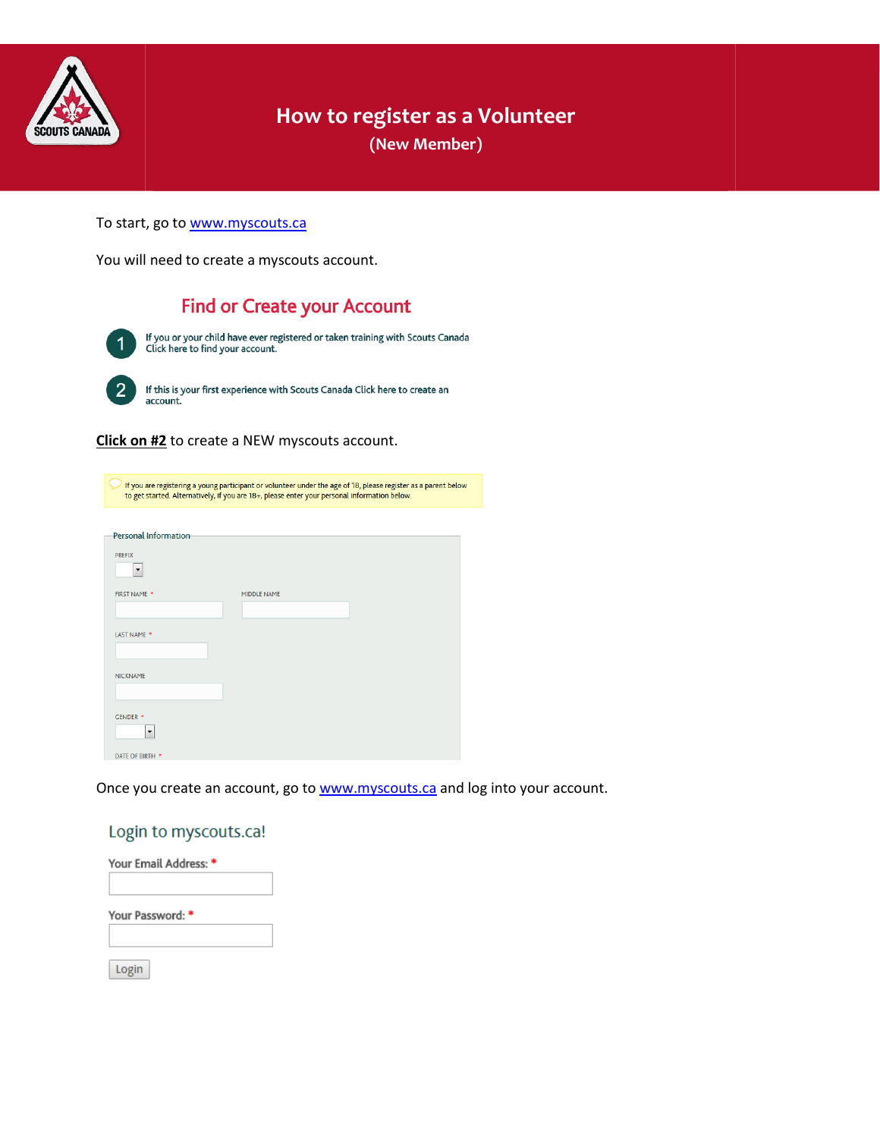

# **How to register as a Volunteer**

**(New Member)**

To start, go to [www.myscouts.ca](http://www.myscouts.ca/)

You will need to create a myscouts account.

# **Find or Create your Account**

If you or your child have ever registered or taken training with Scouts Canada<br>Click here to find your account.  $\overline{2}$ If this is your first experience with Scouts Canada Click here to create an account.

**Click on #2** to create a NEW myscouts account.

| If you are registering a young participant or volunteer under the age of 18, please register as a parent below<br>to get started. Alternatively, if you are 18+, please enter your personal information below. |             |  |  |  |
|----------------------------------------------------------------------------------------------------------------------------------------------------------------------------------------------------------------|-------------|--|--|--|
| <b>Personal Information</b>                                                                                                                                                                                    |             |  |  |  |
|                                                                                                                                                                                                                |             |  |  |  |
| <b>PREFIX</b>                                                                                                                                                                                                  |             |  |  |  |
| $\overline{\phantom{a}}$                                                                                                                                                                                       |             |  |  |  |
| FIRST NAME *                                                                                                                                                                                                   | MIDDLE NAME |  |  |  |
|                                                                                                                                                                                                                |             |  |  |  |
|                                                                                                                                                                                                                |             |  |  |  |
| LAST NAME *                                                                                                                                                                                                    |             |  |  |  |
|                                                                                                                                                                                                                |             |  |  |  |
| <b>NICKNAME</b>                                                                                                                                                                                                |             |  |  |  |
|                                                                                                                                                                                                                |             |  |  |  |
|                                                                                                                                                                                                                |             |  |  |  |
|                                                                                                                                                                                                                |             |  |  |  |
| <b>GENDER *</b>                                                                                                                                                                                                |             |  |  |  |
| ▼                                                                                                                                                                                                              |             |  |  |  |
|                                                                                                                                                                                                                |             |  |  |  |
| DATE OF BIRTH *                                                                                                                                                                                                |             |  |  |  |

Once you create an account, go to [www.myscouts.ca](http://www.myscouts.ca/) and log into your account.

## Login to myscouts.ca!

| Your Email Address: * |  |  |
|-----------------------|--|--|
|                       |  |  |
| Your Password: *      |  |  |
|                       |  |  |
| Login                 |  |  |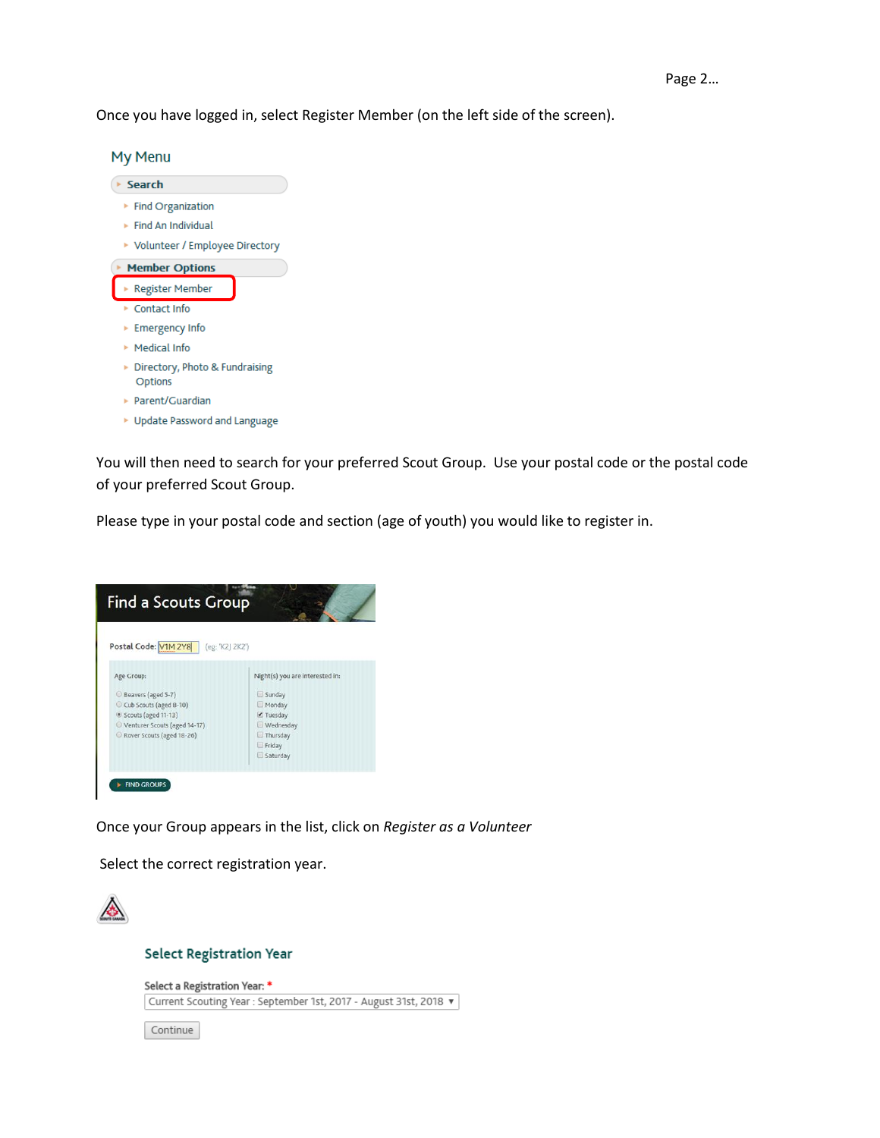Once you have logged in, select Register Member (on the left side of the screen).



You will then need to search for your preferred Scout Group. Use your postal code or the postal code of your preferred Scout Group.

Please type in your postal code and section (age of youth) you would like to register in.



Once your Group appears in the list, click on *Register as a Volunteer*

Select the correct registration year.



#### **Select Registration Year**

Select a Registration Year: \* Current Scouting Year : September 1st, 2017 - August 31st, 2018 v

Continue